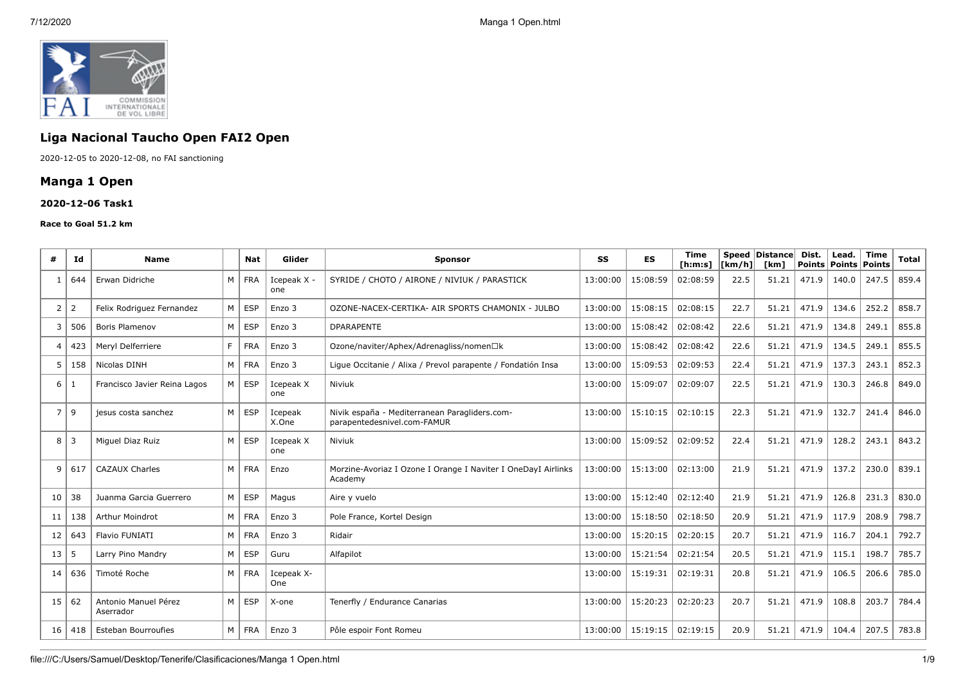

# **Liga Nacional Taucho Open FAI2 Open**

2020-12-05 to 2020-12-08, no FAI sanctioning

## **Manga 1 Open**

#### **2020-12-06 Task1**

#### **Race to Goal 51.2 km**

| #              | Id             | <b>Name</b>                       |                | <b>Nat</b> | Glider             | <b>Sponsor</b>                                                               | SS       | <b>ES</b> | <b>Time</b><br>[ <b>h</b> : <b>m</b> : <b>s</b> ] | [km/h] | Speed   Distance  <br><b>Tkm1</b> | Dist. | Lead.<br>Points   Points | <b>Time</b><br><b>Points</b> | <b>Total</b> |
|----------------|----------------|-----------------------------------|----------------|------------|--------------------|------------------------------------------------------------------------------|----------|-----------|---------------------------------------------------|--------|-----------------------------------|-------|--------------------------|------------------------------|--------------|
|                | 644            | Erwan Didriche                    | $M \mid$       | <b>FRA</b> | Icepeak X -<br>one | SYRIDE / CHOTO / AIRONE / NIVIUK / PARASTICK                                 | 13:00:00 | 15:08:59  | 02:08:59                                          | 22.5   | 51.21                             | 471.9 | 140.0                    | 247.5                        | 859.4        |
| 2              | 2              | Felix Rodriguez Fernandez         | M <sub>1</sub> | <b>ESP</b> | Enzo 3             | OZONE-NACEX-CERTIKA- AIR SPORTS CHAMONIX - JULBO                             | 13:00:00 | 15:08:15  | 02:08:15                                          | 22.7   | 51.21                             | 471.9 | 134.6                    | 252.2                        | 858.7        |
| 3              | 506            | <b>Boris Plamenov</b>             | M <sub>1</sub> | ESP        | Enzo 3             | <b>DPARAPENTE</b>                                                            | 13:00:00 | 15:08:42  | 02:08:42                                          | 22.6   | 51.21                             | 471.9 | 134.8                    | 249.1                        | 855.8        |
| 4              | 423            | Meryl Delferriere                 | F.             | <b>FRA</b> | Enzo 3             | Ozone/naviter/Aphex/Adrenagliss/nomen□k                                      | 13:00:00 | 15:08:42  | 02:08:42                                          | 22.6   | 51.21                             | 471.9 | 134.5                    | 249.1                        | 855.5        |
| 5              | 158            | Nicolas DINH                      | M <sub>1</sub> | <b>FRA</b> | Enzo 3             | Lique Occitanie / Alixa / Prevol parapente / Fondatión Insa                  | 13:00:00 | 15:09:53  | 02:09:53                                          | 22.4   | 51.21                             | 471.9 | 137.3                    | 243.1                        | 852.3        |
| 6              | -1             | Francisco Javier Reina Lagos      | M <sub>1</sub> | <b>ESP</b> | Icepeak X<br>one   | Niviuk                                                                       | 13:00:00 | 15:09:07  | 02:09:07                                          | 22.5   | 51.21                             | 471.9 | 130.3                    | 246.8                        | 849.0        |
| $\overline{7}$ | 9              | jesus costa sanchez               | M <sub>1</sub> | <b>ESP</b> | Icepeak<br>X.One   | Nivik españa - Mediterranean Paragliders.com-<br>parapentedesnivel.com-FAMUR | 13:00:00 | 15:10:15  | 02:10:15                                          | 22.3   | 51.21                             | 471.9 | 132.7                    | 241.4                        | 846.0        |
| 8              | $\overline{3}$ | Miguel Diaz Ruiz                  | M <sub>1</sub> | <b>ESP</b> | Icepeak X<br>one   | Niviuk                                                                       | 13:00:00 | 15:09:52  | 02:09:52                                          | 22.4   | 51.21                             | 471.9 | 128.2                    | 243.1                        | 843.2        |
| 9              | 617            | <b>CAZAUX Charles</b>             | M <sub>1</sub> | <b>FRA</b> | Enzo               | Morzine-Avoriaz I Ozone I Orange I Naviter I OneDayI Airlinks<br>Academy     | 13:00:00 | 15:13:00  | 02:13:00                                          | 21.9   | 51.21                             | 471.9 | 137.2                    | 230.0                        | 839.1        |
| 10             | 38             | Juanma Garcia Guerrero            | M <sub>1</sub> | ESP        | Magus              | Aire y vuelo                                                                 | 13:00:00 | 15:12:40  | 02:12:40                                          | 21.9   | 51.21                             | 471.9 | 126.8                    | 231.3                        | 830.0        |
| 11             | 138            | Arthur Moindrot                   |                | M FRA      | Enzo 3             | Pole France, Kortel Design                                                   | 13:00:00 | 15:18:50  | 02:18:50                                          | 20.9   | 51.21                             | 471.9 | 117.9                    | 208.9                        | 798.7        |
| 12             | 643            | Flavio FUNIATI                    |                | M FRA      | Enzo 3             | Ridair                                                                       | 13:00:00 | 15:20:15  | 02:20:15                                          | 20.7   | 51.21                             | 471.9 | 116.7                    | 204.1                        | 792.7        |
| 13             | -5             | Larry Pino Mandry                 | M <sub>1</sub> | <b>ESP</b> | Guru               | Alfapilot                                                                    | 13:00:00 | 15:21:54  | 02:21:54                                          | 20.5   | 51.21                             | 471.9 | 115.1                    | 198.7                        | 785.7        |
| 14             | 636            | Timoté Roche                      | M <sub>1</sub> | <b>FRA</b> | Icepeak X-<br>One  |                                                                              | 13:00:00 | 15:19:31  | 02:19:31                                          | 20.8   | 51.21                             | 471.9 | 106.5                    | 206.6                        | 785.0        |
| 15             | 62             | Antonio Manuel Pérez<br>Aserrador | M <sub>1</sub> | <b>ESP</b> | X-one              | Tenerfly / Endurance Canarias                                                | 13:00:00 | 15:20:23  | 02:20:23                                          | 20.7   | 51.21                             | 471.9 | 108.8                    | 203.7                        | 784.4        |
| 16             | 418            | <b>Esteban Bourroufies</b>        |                | M FRA      | Enzo 3             | Pôle espoir Font Romeu                                                       | 13:00:00 | 15:19:15  | 02:19:15                                          | 20.9   | 51.21                             | 471.9 | 104.4                    | 207.5                        | 783.8        |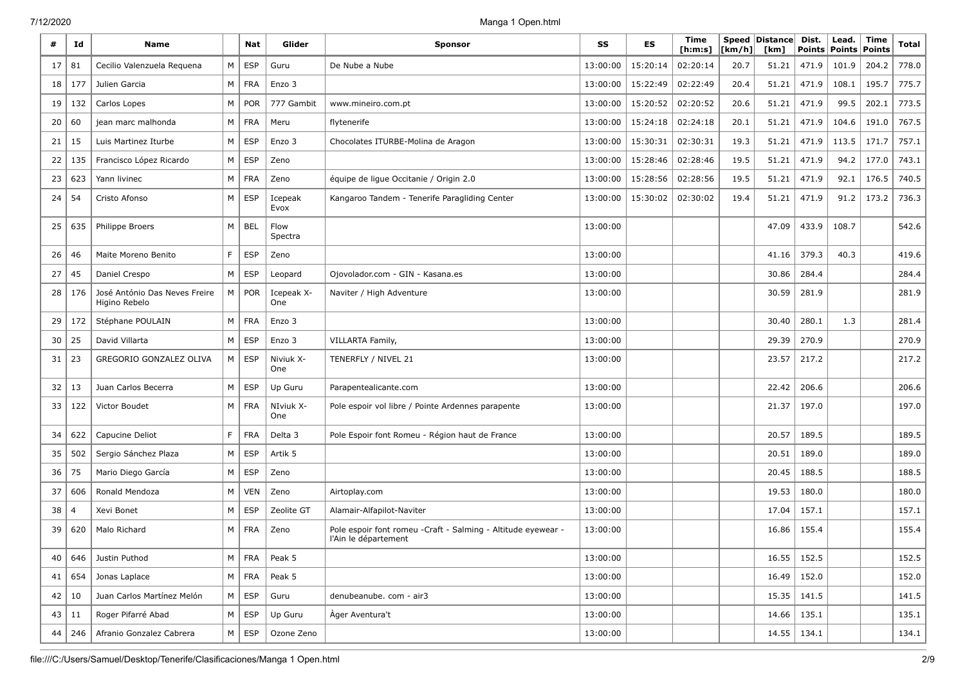| #  | Id  | <b>Name</b>                                    |          | Nat        | Glider            | Sponsor                                                                               | SS       | ES       | Time<br>[ <b>h</b> : <b>m</b> : <b>s</b> ] | [km/h] | Speed   Distance  <br>[km] | Dist.<br><b>Points</b> | Lead.<br><b>Points</b> | Time<br><b>Points</b> | Total |
|----|-----|------------------------------------------------|----------|------------|-------------------|---------------------------------------------------------------------------------------|----------|----------|--------------------------------------------|--------|----------------------------|------------------------|------------------------|-----------------------|-------|
| 17 | 81  | Cecilio Valenzuela Reguena                     | М        | <b>ESP</b> | Guru              | De Nube a Nube                                                                        | 13:00:00 | 15:20:14 | 02:20:14                                   | 20.7   | 51.21                      | 471.9                  | 101.9                  | 204.2                 | 778.0 |
| 18 | 177 | Julien Garcia                                  | M        | <b>FRA</b> | Enzo 3            |                                                                                       | 13:00:00 | 15:22:49 | 02:22:49                                   | 20.4   | 51.21                      | 471.9                  | 108.1                  | 195.7                 | 775.7 |
| 19 | 132 | Carlos Lopes                                   | M        | <b>POR</b> | 777 Gambit        | www.mineiro.com.pt                                                                    | 13:00:00 | 15:20:52 | 02:20:52                                   | 20.6   | 51.21                      | 471.9                  | 99.5                   | 202.1                 | 773.5 |
| 20 | 60  | jean marc malhonda                             | M        | <b>FRA</b> | Meru              | flytenerife                                                                           | 13:00:00 | 15:24:18 | 02:24:18                                   | 20.1   | 51.21                      | 471.9                  | 104.6                  | 191.0                 | 767.5 |
| 21 | 15  | Luis Martinez Iturbe                           | M        | <b>ESP</b> | Enzo 3            | Chocolates ITURBE-Molina de Aragon                                                    | 13:00:00 | 15:30:31 | 02:30:31                                   | 19.3   | 51.21                      | 471.9                  | 113.5                  | 171.7                 | 757.1 |
| 22 | 135 | Francisco López Ricardo                        | М        | <b>ESP</b> | Zeno              |                                                                                       | 13:00:00 | 15:28:46 | 02:28:46                                   | 19.5   | 51.21                      | 471.9                  | 94.2                   | 177.0                 | 743.1 |
| 23 | 623 | Yann livinec                                   | M        | <b>FRA</b> | Zeno              | équipe de ligue Occitanie / Origin 2.0                                                | 13:00:00 | 15:28:56 | 02:28:56                                   | 19.5   | 51.21                      | 471.9                  | 92.1                   | 176.5                 | 740.5 |
| 24 | 54  | Cristo Afonso                                  | M        | <b>ESP</b> | Icepeak<br>Evox   | Kangaroo Tandem - Tenerife Paragliding Center                                         | 13:00:00 | 15:30:02 | 02:30:02                                   | 19.4   | 51.21                      | 471.9                  | 91.2                   | 173.2                 | 736.3 |
| 25 | 635 | Philippe Broers                                | M        | <b>BEL</b> | Flow<br>Spectra   |                                                                                       | 13:00:00 |          |                                            |        | 47.09                      | 433.9                  | 108.7                  |                       | 542.6 |
| 26 | 46  | Maite Moreno Benito                            | F.       | <b>ESP</b> | Zeno              |                                                                                       | 13:00:00 |          |                                            |        | 41.16                      | 379.3                  | 40.3                   |                       | 419.6 |
| 27 | 45  | Daniel Crespo                                  | M        | <b>ESP</b> | Leopard           | Ojovolador.com - GIN - Kasana.es                                                      | 13:00:00 |          |                                            |        | 30.86                      | 284.4                  |                        |                       | 284.4 |
| 28 | 176 | José António Das Neves Freire<br>Higino Rebelo | M        | <b>POR</b> | Icepeak X-<br>One | Naviter / High Adventure                                                              | 13:00:00 |          |                                            |        | 30.59                      | 281.9                  |                        |                       | 281.9 |
| 29 | 172 | Stéphane POULAIN                               | M        | <b>FRA</b> | Enzo 3            |                                                                                       | 13:00:00 |          |                                            |        | 30.40                      | 280.1                  | 1.3                    |                       | 281.4 |
| 30 | 25  | David Villarta                                 | M        | <b>ESP</b> | Enzo 3            | VILLARTA Family,                                                                      | 13:00:00 |          |                                            |        | 29.39                      | 270.9                  |                        |                       | 270.9 |
| 31 | 23  | GREGORIO GONZALEZ OLIVA                        | $M \mid$ | <b>ESP</b> | Niviuk X-<br>One  | TENERFLY / NIVEL 21                                                                   | 13:00:00 |          |                                            |        | 23.57                      | 217.2                  |                        |                       | 217.2 |
| 32 | 13  | Juan Carlos Becerra                            | M        | <b>ESP</b> | Up Guru           | Parapentealicante.com                                                                 | 13:00:00 |          |                                            |        | 22.42                      | 206.6                  |                        |                       | 206.6 |
| 33 | 122 | Victor Boudet                                  | M        | <b>FRA</b> | NIviuk X-<br>One  | Pole espoir vol libre / Pointe Ardennes parapente                                     | 13:00:00 |          |                                            |        | 21.37                      | 197.0                  |                        |                       | 197.0 |
| 34 | 622 | Capucine Deliot                                | F.       | <b>FRA</b> | Delta 3           | Pole Espoir font Romeu - Région haut de France                                        | 13:00:00 |          |                                            |        | 20.57                      | 189.5                  |                        |                       | 189.5 |
| 35 | 502 | Sergio Sánchez Plaza                           | M        | <b>ESP</b> | Artik 5           |                                                                                       | 13:00:00 |          |                                            |        | 20.51                      | 189.0                  |                        |                       | 189.0 |
| 36 | 75  | Mario Diego García                             | M        | <b>ESP</b> | Zeno              |                                                                                       | 13:00:00 |          |                                            |        | 20.45                      | 188.5                  |                        |                       | 188.5 |
| 37 | 606 | Ronald Mendoza                                 | М        | <b>VEN</b> | Zeno              | Airtoplay.com                                                                         | 13:00:00 |          |                                            |        | 19.53                      | 180.0                  |                        |                       | 180.0 |
| 38 | 4   | Xevi Bonet                                     | M        | <b>ESP</b> | Zeolite GT        | Alamair-Alfapilot-Naviter                                                             | 13:00:00 |          |                                            |        | 17.04                      | 157.1                  |                        |                       | 157.1 |
| 39 | 620 | Malo Richard                                   | М        | FRA        | Zeno              | Pole espoir font romeu - Craft - Salming - Altitude eyewear -<br>l'Ain le département | 13:00:00 |          |                                            |        | 16.86                      | 155.4                  |                        |                       | 155.4 |
| 40 | 646 | Justin Puthod                                  |          | $M$   FRA  | Peak 5            |                                                                                       | 13:00:00 |          |                                            |        | 16.55                      | 152.5                  |                        |                       | 152.5 |
| 41 | 654 | Jonas Laplace                                  |          | $M$ FRA    | Peak 5            |                                                                                       | 13:00:00 |          |                                            |        | 16.49                      | 152.0                  |                        |                       | 152.0 |
| 42 | 10  | Juan Carlos Martínez Melón                     | M        | <b>ESP</b> | Guru              | denubeanube. com - air3                                                               | 13:00:00 |          |                                            |        | 15.35                      | 141.5                  |                        |                       | 141.5 |
| 43 | 11  | Roger Pifarré Abad                             | M        | <b>ESP</b> | Up Guru           | Àger Aventura't                                                                       | 13:00:00 |          |                                            |        | 14.66                      | 135.1                  |                        |                       | 135.1 |
| 44 | 246 | Afranio Gonzalez Cabrera                       | $M \mid$ | <b>ESP</b> | Ozone Zeno        |                                                                                       | 13:00:00 |          |                                            |        | 14.55                      | 134.1                  |                        |                       | 134.1 |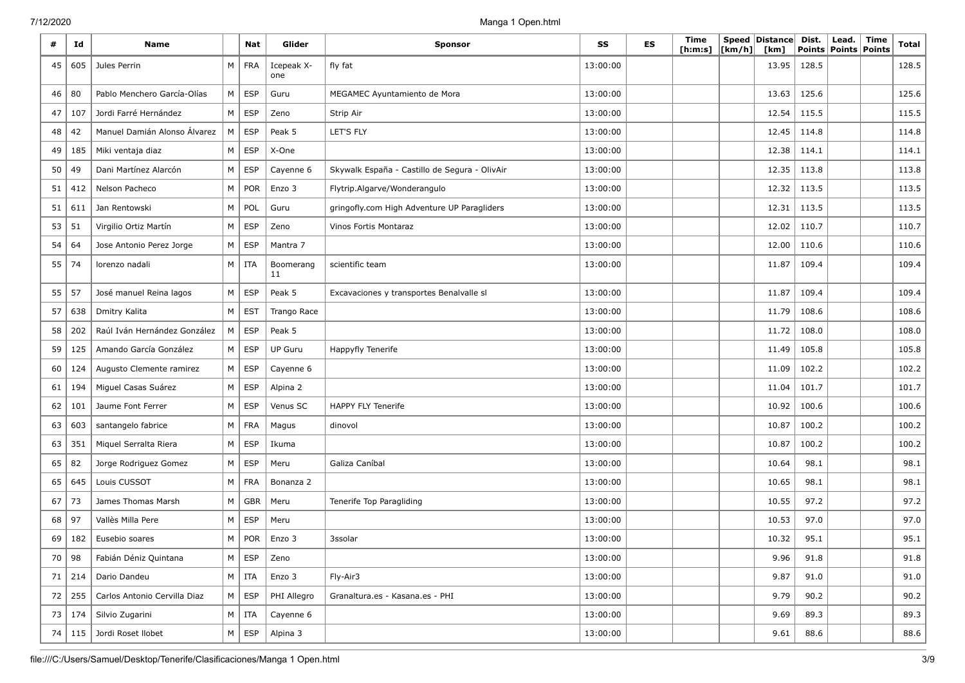| #  | Id  | <b>Name</b>                  |   | Nat           | Glider            | <b>Sponsor</b>                                | SS       | <b>ES</b> | Time<br>[ h: m: s] | [km/h] | Speed   Distance  <br>[km] | Dist.<br><b>Points</b> | Lead.<br><b>Points</b> | Time<br>Points | <b>Total</b> |
|----|-----|------------------------------|---|---------------|-------------------|-----------------------------------------------|----------|-----------|--------------------|--------|----------------------------|------------------------|------------------------|----------------|--------------|
| 45 | 605 | Jules Perrin                 | M | <b>FRA</b>    | Icepeak X-<br>one | fly fat                                       | 13:00:00 |           |                    |        | 13.95                      | 128.5                  |                        |                | 128.5        |
| 46 | 80  | Pablo Menchero García-Olías  | M | <b>ESP</b>    | Guru              | MEGAMEC Ayuntamiento de Mora                  | 13:00:00 |           |                    |        | 13.63                      | 125.6                  |                        |                | 125.6        |
| 47 | 107 | Jordi Farré Hernández        | M | $\vert$ ESP   | Zeno              | Strip Air                                     | 13:00:00 |           |                    |        | 12.54                      | 115.5                  |                        |                | 115.5        |
| 48 | 42  | Manuel Damián Alonso Álvarez | М | <b>ESP</b>    | Peak 5            | LET'S FLY                                     | 13:00:00 |           |                    |        | 12.45                      | 114.8                  |                        |                | 114.8        |
| 49 | 185 | Miki ventaja diaz            | M | <b>ESP</b>    | X-One             |                                               | 13:00:00 |           |                    |        | 12.38                      | 114.1                  |                        |                | 114.1        |
| 50 | 49  | Dani Martínez Alarcón        | M | <b>ESP</b>    | Cayenne 6         | Skywalk España - Castillo de Segura - OlivAir | 13:00:00 |           |                    |        | 12.35                      | 113.8                  |                        |                | 113.8        |
| 51 | 412 | Nelson Pacheco               | М | <b>POR</b>    | Enzo 3            | Flytrip.Algarve/Wonderangulo                  | 13:00:00 |           |                    |        | 12.32                      | 113.5                  |                        |                | 113.5        |
| 51 | 611 | Jan Rentowski                | M | POL           | Guru              | gringofly.com High Adventure UP Paragliders   | 13:00:00 |           |                    |        | 12.31                      | 113.5                  |                        |                | 113.5        |
| 53 | 51  | Virgilio Ortiz Martín        | M | <b>ESP</b>    | Zeno              | Vinos Fortis Montaraz                         | 13:00:00 |           |                    |        | 12.02                      | 110.7                  |                        |                | 110.7        |
| 54 | 64  | Jose Antonio Perez Jorge     | M | <b>ESP</b>    | Mantra 7          |                                               | 13:00:00 |           |                    |        | 12.00                      | 110.6                  |                        |                | 110.6        |
| 55 | 74  | lorenzo nadali               |   | $M$   ITA     | Boomerang<br>11   | scientific team                               | 13:00:00 |           |                    |        | 11.87                      | 109.4                  |                        |                | 109.4        |
| 55 | 57  | José manuel Reina lagos      | M | ESP           | Peak 5            | Excavaciones y transportes Benalvalle sl      | 13:00:00 |           |                    |        | 11.87                      | 109.4                  |                        |                | 109.4        |
| 57 | 638 | Dmitry Kalita                | M | <b>EST</b>    | Trango Race       |                                               | 13:00:00 |           |                    |        | 11.79                      | 108.6                  |                        |                | 108.6        |
| 58 | 202 | Raúl Iván Hernández González | М | ESP           | Peak 5            |                                               | 13:00:00 |           |                    |        | 11.72                      | 108.0                  |                        |                | 108.0        |
| 59 | 125 | Amando García González       | M | ESP           | <b>UP Guru</b>    | Happyfly Tenerife                             | 13:00:00 |           |                    |        | 11.49                      | 105.8                  |                        |                | 105.8        |
| 60 | 124 | Augusto Clemente ramirez     | M | ESP           | Cayenne 6         |                                               | 13:00:00 |           |                    |        | 11.09                      | 102.2                  |                        |                | 102.2        |
| 61 | 194 | Miguel Casas Suárez          | M | ESP           | Alpina 2          |                                               | 13:00:00 |           |                    |        | 11.04                      | 101.7                  |                        |                | 101.7        |
| 62 | 101 | Jaume Font Ferrer            | M | ESP           | Venus SC          | HAPPY FLY Tenerife                            | 13:00:00 |           |                    |        | 10.92                      | 100.6                  |                        |                | 100.6        |
| 63 | 603 | santangelo fabrice           | M | <b>FRA</b>    | Magus             | dinovol                                       | 13:00:00 |           |                    |        | 10.87                      | 100.2                  |                        |                | 100.2        |
| 63 | 351 | Miquel Serralta Riera        | M | <b>ESP</b>    | Ikuma             |                                               | 13:00:00 |           |                    |        | 10.87                      | 100.2                  |                        |                | 100.2        |
| 65 | 82  | Jorge Rodriguez Gomez        | M | ESP           | Meru              | Galiza Caníbal                                | 13:00:00 |           |                    |        | 10.64                      | 98.1                   |                        |                | 98.1         |
| 65 | 645 | Louis CUSSOT                 | M | <b>FRA</b>    | Bonanza 2         |                                               | 13:00:00 |           |                    |        | 10.65                      | 98.1                   |                        |                | 98.1         |
| 67 | 73  | James Thomas Marsh           | М | <b>GBR</b>    | Meru              | Tenerife Top Paragliding                      | 13:00:00 |           |                    |        | 10.55                      | 97.2                   |                        |                | 97.2         |
| 68 | 97  | Vallès Milla Pere            | М | <b>ESP</b>    | Meru              |                                               | 13:00:00 |           |                    |        | 10.53                      | 97.0                   |                        |                | 97.0         |
| 69 | 182 | Eusebio soares               | М | POR           | Enzo 3            | 3ssolar                                       | 13:00:00 |           |                    |        | 10.32                      | 95.1                   |                        |                | 95.1         |
| 70 | 98  | Fabián Déniz Quintana        |   | $M \vert$ ESP | Zeno              |                                               | 13:00:00 |           |                    |        | 9.96                       | 91.8                   |                        |                | 91.8         |
| 71 | 214 | Dario Dandeu                 |   | $M$ ITA       | Enzo 3            | Fly-Air3                                      | 13:00:00 |           |                    |        | 9.87                       | 91.0                   |                        |                | 91.0         |
| 72 | 255 | Carlos Antonio Cervilla Diaz |   | $M \vert$ ESP | PHI Allegro       | Granaltura.es - Kasana.es - PHI               | 13:00:00 |           |                    |        | 9.79                       | 90.2                   |                        |                | 90.2         |
| 73 | 174 | Silvio Zugarini              |   | $M$ ITA       | Cayenne 6         |                                               | 13:00:00 |           |                    |        | 9.69                       | 89.3                   |                        |                | 89.3         |
| 74 | 115 | Jordi Roset Ilobet           |   | $M \vert ESP$ | Alpina 3          |                                               | 13:00:00 |           |                    |        | 9.61                       | 88.6                   |                        |                | 88.6         |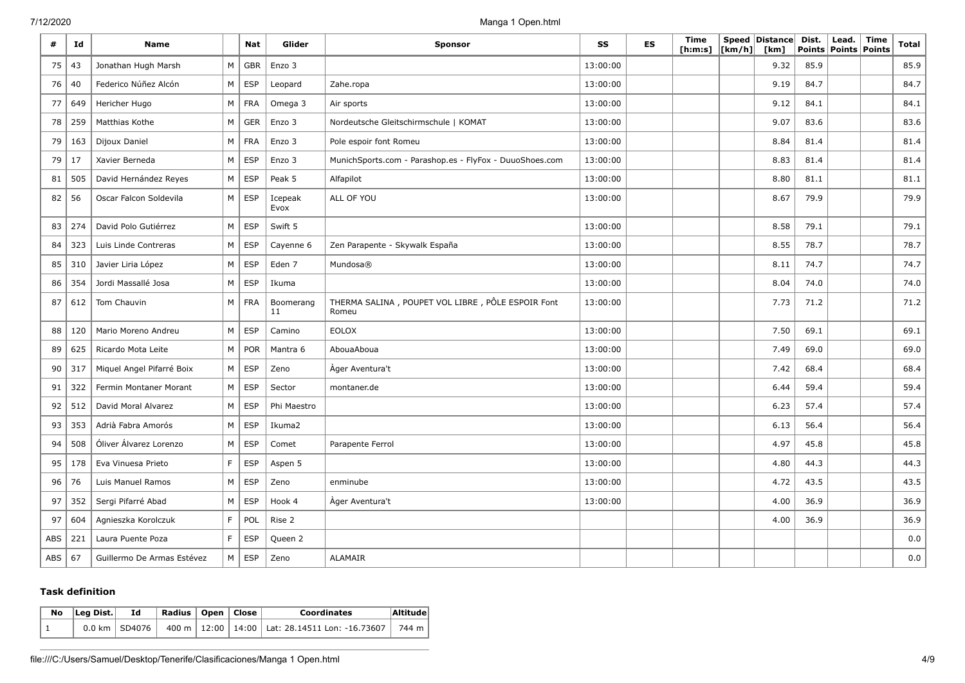| #   | Id  | <b>Name</b>                |   | Nat        | Glider          | <b>Sponsor</b>                                             | SS       | <b>ES</b> | Time<br>[ <b>h</b> : <b>m</b> : <b>s</b> ] | [km/h] | Speed   Distance  <br>[km] | Dist.<br><b>Points</b> | Lead.<br>Points | Time<br>Points | <b>Total</b> |
|-----|-----|----------------------------|---|------------|-----------------|------------------------------------------------------------|----------|-----------|--------------------------------------------|--------|----------------------------|------------------------|-----------------|----------------|--------------|
| 75  | 43  | Jonathan Hugh Marsh        | M | <b>GBR</b> | Enzo 3          |                                                            | 13:00:00 |           |                                            |        | 9.32                       | 85.9                   |                 |                | 85.9         |
| 76  | 40  | Federico Núñez Alcón       | M | ESP        | Leopard         | Zahe.ropa                                                  | 13:00:00 |           |                                            |        | 9.19                       | 84.7                   |                 |                | 84.7         |
| 77  | 649 | Hericher Hugo              | М | <b>FRA</b> | Omega 3         | Air sports                                                 | 13:00:00 |           |                                            |        | 9.12                       | 84.1                   |                 |                | 84.1         |
| 78  | 259 | Matthias Kothe             | M | <b>GER</b> | Enzo 3          | Nordeutsche Gleitschirmschule   KOMAT                      | 13:00:00 |           |                                            |        | 9.07                       | 83.6                   |                 |                | 83.6         |
| 79  | 163 | Dijoux Daniel              | M | <b>FRA</b> | Enzo 3          | Pole espoir font Romeu                                     | 13:00:00 |           |                                            |        | 8.84                       | 81.4                   |                 |                | 81.4         |
| 79  | 17  | Xavier Berneda             | M | <b>ESP</b> | Enzo 3          | MunichSports.com - Parashop.es - FlyFox - DuuoShoes.com    | 13:00:00 |           |                                            |        | 8.83                       | 81.4                   |                 |                | 81.4         |
| 81  | 505 | David Hernández Reyes      | M | <b>ESP</b> | Peak 5          | Alfapilot                                                  | 13:00:00 |           |                                            |        | 8.80                       | 81.1                   |                 |                | 81.1         |
| 82  | 56  | Oscar Falcon Soldevila     | М | ESP        | Icepeak<br>Evox | ALL OF YOU                                                 | 13:00:00 |           |                                            |        | 8.67                       | 79.9                   |                 |                | 79.9         |
| 83  | 274 | David Polo Gutiérrez       | M | <b>ESP</b> | Swift 5         |                                                            | 13:00:00 |           |                                            |        | 8.58                       | 79.1                   |                 |                | 79.1         |
| 84  | 323 | Luis Linde Contreras       | M | <b>ESP</b> | Cayenne 6       | Zen Parapente - Skywalk España                             | 13:00:00 |           |                                            |        | 8.55                       | 78.7                   |                 |                | 78.7         |
| 85  | 310 | Javier Liria López         | M | <b>ESP</b> | Eden 7          | Mundosa®                                                   | 13:00:00 |           |                                            |        | 8.11                       | 74.7                   |                 |                | 74.7         |
| 86  | 354 | Jordi Massallé Josa        | M | <b>ESP</b> | Ikuma           |                                                            | 13:00:00 |           |                                            |        | 8.04                       | 74.0                   |                 |                | 74.0         |
| 87  | 612 | Tom Chauvin                | M | <b>FRA</b> | Boomerang<br>11 | THERMA SALINA, POUPET VOL LIBRE, PÔLE ESPOIR Font<br>Romeu | 13:00:00 |           |                                            |        | 7.73                       | 71.2                   |                 |                | 71.2         |
| 88  | 120 | Mario Moreno Andreu        | M | <b>ESP</b> | Camino          | <b>EOLOX</b>                                               | 13:00:00 |           |                                            |        | 7.50                       | 69.1                   |                 |                | 69.1         |
| 89  | 625 | Ricardo Mota Leite         | M | <b>POR</b> | Mantra 6        | AbouaAboua                                                 | 13:00:00 |           |                                            |        | 7.49                       | 69.0                   |                 |                | 69.0         |
| 90  | 317 | Miquel Angel Pifarré Boix  | M | <b>ESP</b> | Zeno            | Ager Aventura't                                            | 13:00:00 |           |                                            |        | 7.42                       | 68.4                   |                 |                | 68.4         |
| 91  | 322 | Fermin Montaner Morant     | M | <b>ESP</b> | Sector          | montaner.de                                                | 13:00:00 |           |                                            |        | 6.44                       | 59.4                   |                 |                | 59.4         |
| 92  | 512 | David Moral Alvarez        | M | ESP        | Phi Maestro     |                                                            | 13:00:00 |           |                                            |        | 6.23                       | 57.4                   |                 |                | 57.4         |
| 93  | 353 | Adrià Fabra Amorós         | M | <b>ESP</b> | Ikuma2          |                                                            | 13:00:00 |           |                                            |        | 6.13                       | 56.4                   |                 |                | 56.4         |
| 94  | 508 | Óliver Álvarez Lorenzo     | M | <b>ESP</b> | Comet           | Parapente Ferrol                                           | 13:00:00 |           |                                            |        | 4.97                       | 45.8                   |                 |                | 45.8         |
| 95  | 178 | Eva Vinuesa Prieto         | F | <b>ESP</b> | Aspen 5         |                                                            | 13:00:00 |           |                                            |        | 4.80                       | 44.3                   |                 |                | 44.3         |
| 96  | 76  | Luis Manuel Ramos          | M | ESP        | Zeno            | enminube                                                   | 13:00:00 |           |                                            |        | 4.72                       | 43.5                   |                 |                | 43.5         |
| 97  | 352 | Sergi Pifarré Abad         | M | <b>ESP</b> | Hook 4          | Ager Aventura't                                            | 13:00:00 |           |                                            |        | 4.00                       | 36.9                   |                 |                | 36.9         |
| 97  | 604 | Agnieszka Korolczuk        | F | POL        | Rise 2          |                                                            |          |           |                                            |        | 4.00                       | 36.9                   |                 |                | 36.9         |
| ABS | 221 | Laura Puente Poza          | F | ESP        | Queen 2         |                                                            |          |           |                                            |        |                            |                        |                 |                | 0.0          |
| ABS | 67  | Guillermo De Armas Estévez | M | <b>ESP</b> | Zeno            | <b>ALAMAIR</b>                                             |          |           |                                            |        |                            |                        |                 |                | $0.0\,$      |

#### **Task definition**

| No | Leg Dist. <br>Ιd |                 | Radius   Open   Close |  |  | <b>Coordinates</b>                                           | Altitude |  |
|----|------------------|-----------------|-----------------------|--|--|--------------------------------------------------------------|----------|--|
|    |                  | 0.0 km   SD4076 |                       |  |  | 400 m   12:00   14:00   Lat: 28.14511 Lon: -16.73607   744 m |          |  |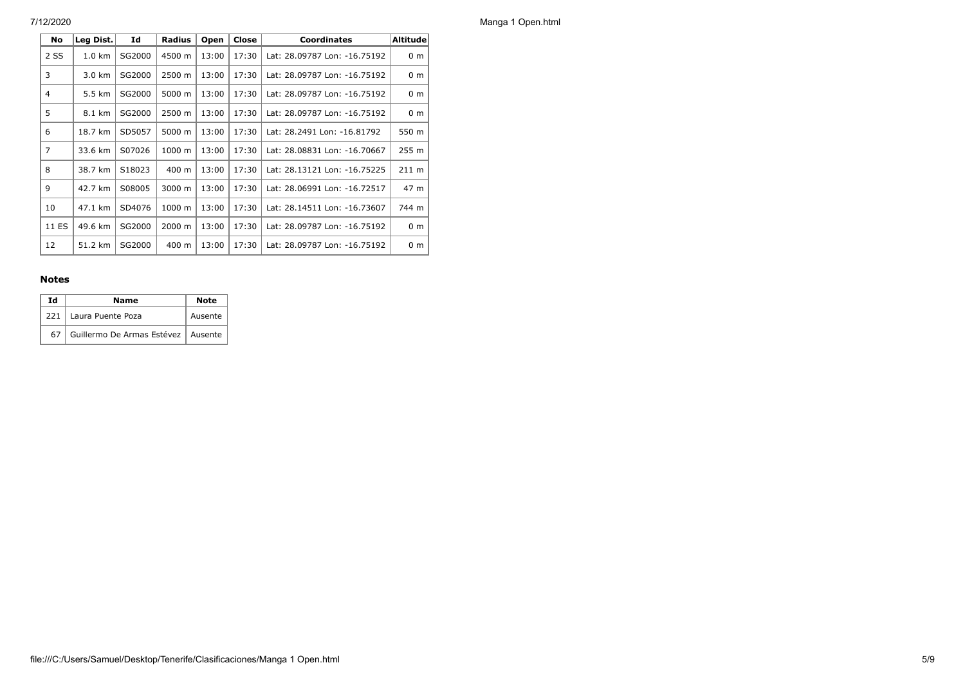| No             | Leg Dist.        | Id     | <b>Radius</b>   | Open  | Close | <b>Coordinates</b>           | <b>Altitude</b> |
|----------------|------------------|--------|-----------------|-------|-------|------------------------------|-----------------|
| 2 SS           | $1.0 \text{ km}$ | SG2000 | 4500 m          | 13:00 | 17:30 | Lat: 28.09787 Lon: -16.75192 | 0 <sub>m</sub>  |
| 3              | 3.0 km           | SG2000 | 2500 m          | 13:00 | 17:30 | Lat: 28.09787 Lon: -16.75192 | 0 <sub>m</sub>  |
| 4              | 5.5 km           | SG2000 | 5000 m          | 13:00 | 17:30 | Lat: 28.09787 Lon: -16.75192 | 0 <sub>m</sub>  |
| 5              | 8.1 km           | SG2000 | 2500 m          | 13:00 | 17:30 | Lat: 28.09787 Lon: -16.75192 | 0 <sub>m</sub>  |
| 6              | 18.7 km          | SD5057 | 5000 m          | 13:00 | 17:30 | Lat: 28.2491 Lon: -16.81792  | 550 m           |
| $\overline{7}$ | 33.6 km          | S07026 | 1000 m          | 13:00 | 17:30 | Lat: 28.08831 Lon: -16.70667 | 255 m           |
| 8              | 38.7 km          | S18023 | $400 \text{ m}$ | 13:00 | 17:30 | Lat: 28.13121 Lon: -16.75225 | $211 \text{ m}$ |
| 9              | 42.7 km          | S08005 | 3000 m          | 13:00 | 17:30 | Lat: 28.06991 Lon: -16.72517 | 47 m            |
| 10             | 47.1 km          | SD4076 | 1000 m          | 13:00 | 17:30 | Lat: 28.14511 Lon: -16.73607 | 744 m           |
| 11 ES          | 49.6 km          | SG2000 | 2000 m          | 13:00 | 17:30 | Lat: 28.09787 Lon: -16.75192 | 0 <sub>m</sub>  |
| 12             | 51.2 km          | SG2000 | 400 m           | 13:00 | 17:30 | Lat: 28.09787 Lon: -16.75192 | 0 <sub>m</sub>  |

## **Notes**

| Ιd | <b>Note</b>                             |         |
|----|-----------------------------------------|---------|
|    | 221   Laura Puente Poza                 | Ausente |
|    | 67 Guillermo De Armas Estévez   Ausente |         |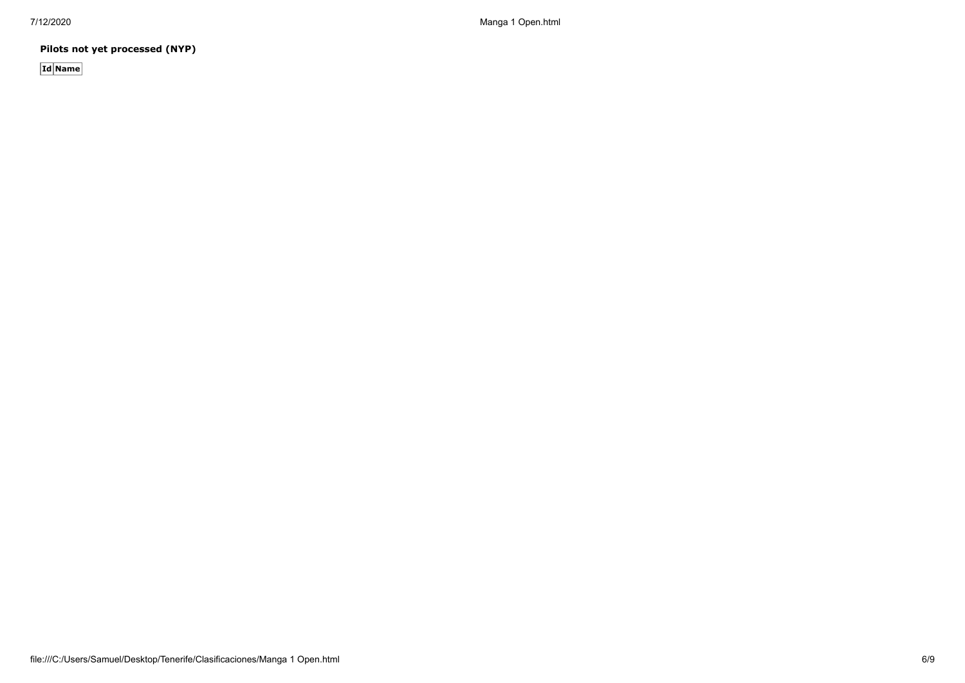**Pilots not yet processed (NYP)**

**Id Name**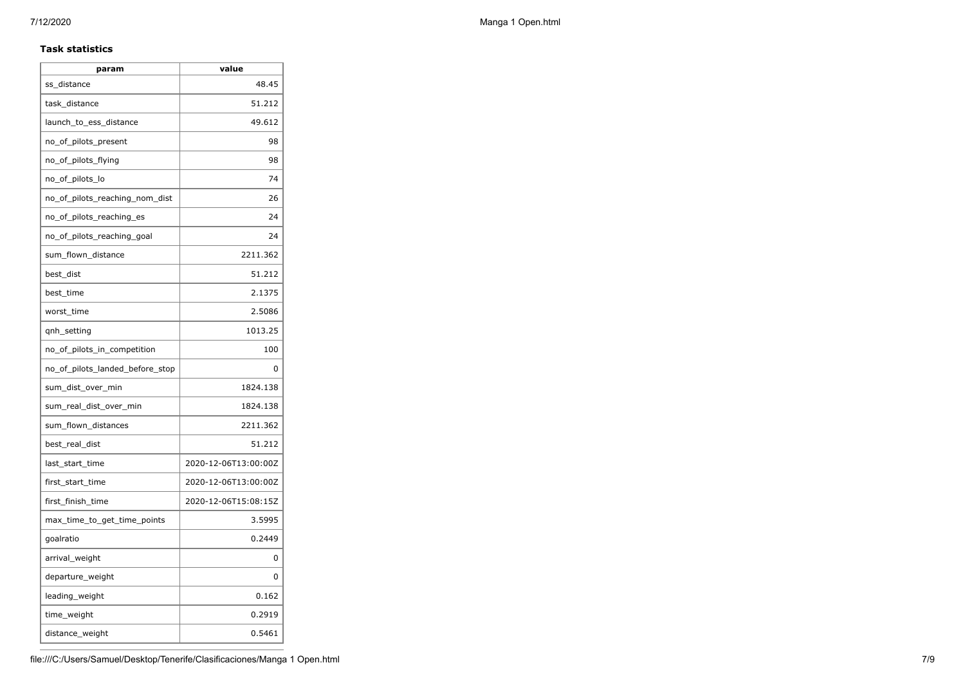## **Task statistics**

| param                           | value                |
|---------------------------------|----------------------|
| ss distance                     | 48.45                |
| task distance                   | 51.212               |
| launch_to_ess_distance          | 49.612               |
| no_of_pilots_present            | 98                   |
| no_of_pilots_flying             | 98                   |
| no_of_pilots_lo                 | 74                   |
| no_of_pilots_reaching_nom_dist  | 26                   |
| no_of_pilots_reaching_es        | 24                   |
| no_of_pilots_reaching_goal      | 24                   |
| sum_flown_distance              | 2211.362             |
| best dist                       | 51.212               |
| best_time                       | 2.1375               |
| worst_time                      | 2.5086               |
| qnh_setting                     | 1013.25              |
| no_of_pilots_in_competition     | 100                  |
| no of pilots landed before stop | 0                    |
| sum_dist_over_min               | 1824.138             |
| sum_real_dist_over_min          | 1824.138             |
| sum_flown_distances             | 2211.362             |
| best_real_dist                  | 51.212               |
| last start time                 | 2020-12-06T13:00:00Z |
| first_start_time                | 2020-12-06T13:00:00Z |
| first_finish_time               | 2020-12-06T15:08:15Z |
| max_time_to_get_time_points     | 3.5995               |
| goalratio                       | 0.2449               |
| arrival_weight                  | 0                    |
| departure_weight                | 0                    |
| leading_weight                  | 0.162                |
| time_weight                     | 0.2919               |
| distance_weight                 | 0.5461               |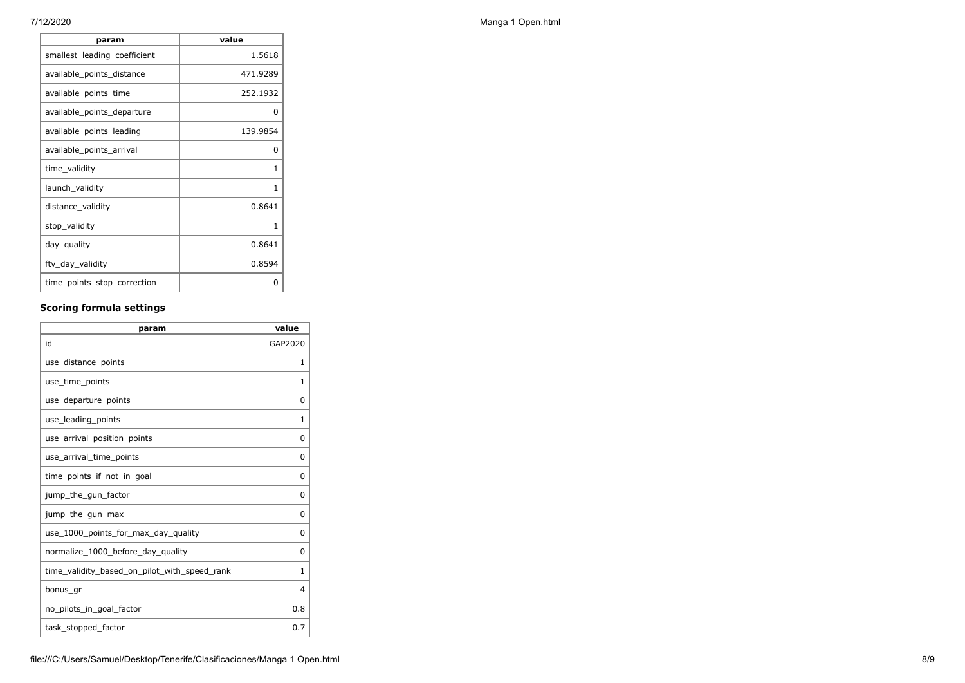| param                        | value    |
|------------------------------|----------|
| smallest_leading_coefficient | 1.5618   |
| available_points_distance    | 471.9289 |
| available_points_time        | 252.1932 |
| available_points_departure   | 0        |
| available points leading     | 139.9854 |
| available_points_arrival     | 0        |
| time_validity                | 1        |
| launch_validity              | 1        |
| distance_validity            | 0.8641   |
| stop_validity                | 1        |
| day_quality                  | 0.8641   |
| ftv_day_validity             | 0.8594   |
| time_points_stop_correction  | ŋ        |

## **Scoring formula settings**

| param                                        | value    |
|----------------------------------------------|----------|
| id                                           | GAP2020  |
| use distance points                          | 1        |
| use_time_points                              | 1        |
| use departure points                         | $\Omega$ |
| use_leading_points                           | 1        |
| use arrival position points                  | 0        |
| use_arrival_time_points                      | $\Omega$ |
| time points if not in goal                   | 0        |
| jump_the_gun_factor                          | $\Omega$ |
| jump_the_gun_max                             | 0        |
| use_1000_points_for_max_day_quality          | $\Omega$ |
| normalize_1000_before_day_quality            | 0        |
| time_validity_based_on_pilot_with_speed_rank | 1        |
| bonus_gr                                     | 4        |
| no pilots in goal factor                     | 0.8      |
| task_stopped_factor                          | 0.7      |